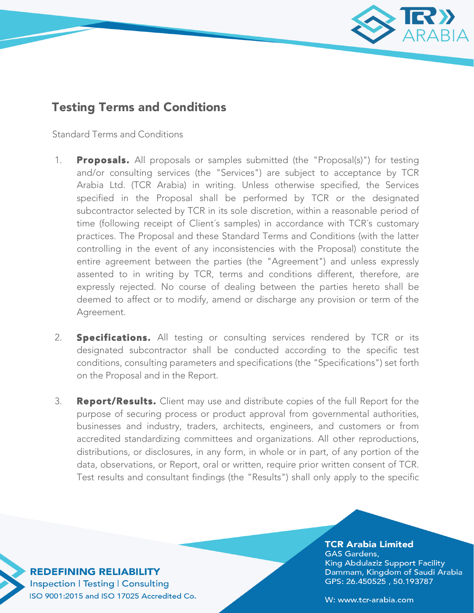

## Testing Terms and Conditions

Standard Terms and Conditions

- 1. **Proposals.** All proposals or samples submitted (the "Proposal(s)") for testing and/or consulting services (the "Services") are subject to acceptance by TCR Arabia Ltd. (TCR Arabia) in writing. Unless otherwise specified, the Services specified in the Proposal shall be performed by TCR or the designated subcontractor selected by TCR in its sole discretion, within a reasonable period of time (following receipt of Client´s samples) in accordance with TCR´s customary practices. The Proposal and these Standard Terms and Conditions (with the latter controlling in the event of any inconsistencies with the Proposal) constitute the entire agreement between the parties (the "Agreement") and unless expressly assented to in writing by TCR, terms and conditions different, therefore, are expressly rejected. No course of dealing between the parties hereto shall be deemed to affect or to modify, amend or discharge any provision or term of the Agreement.
- 2. **Specifications.** All testing or consulting services rendered by TCR or its designated subcontractor shall be conducted according to the specific test conditions, consulting parameters and specifications (the "Specifications") set forth on the Proposal and in the Report.
- 3. **Report/Results.** Client may use and distribute copies of the full Report for the purpose of securing process or product approval from governmental authorities, businesses and industry, traders, architects, engineers, and customers or from accredited standardizing committees and organizations. All other reproductions, distributions, or disclosures, in any form, in whole or in part, of any portion of the data, observations, or Report, oral or written, require prior written consent of TCR. Test results and consultant findings (the "Results") shall only apply to the specific

**TCR Arabia Limited GAS Gardens,** King Abdulaziz Support Facility Dammam, Kingdom of Saudi Arabia GPS: 26.450525, 50.193787

**REDEFINING RELIABILITY Inspection | Testing | Consulting** ISO 9001:2015 and ISO 17025 Accredited Co.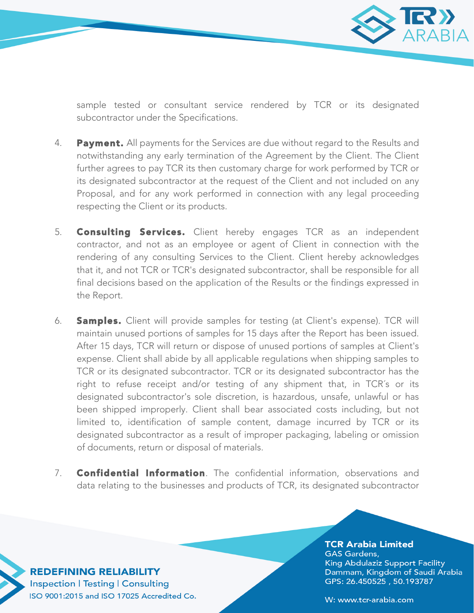

sample tested or consultant service rendered by TCR or its designated subcontractor under the Specifications.

- 4. Payment. All payments for the Services are due without regard to the Results and notwithstanding any early termination of the Agreement by the Client. The Client further agrees to pay TCR its then customary charge for work performed by TCR or its designated subcontractor at the request of the Client and not included on any Proposal, and for any work performed in connection with any legal proceeding respecting the Client or its products.
- 5. **Consulting Services.** Client hereby engages TCR as an independent contractor, and not as an employee or agent of Client in connection with the rendering of any consulting Services to the Client. Client hereby acknowledges that it, and not TCR or TCR's designated subcontractor, shall be responsible for all final decisions based on the application of the Results or the findings expressed in the Report.
- 6. **Samples.** Client will provide samples for testing (at Client's expense). TCR will maintain unused portions of samples for 15 days after the Report has been issued. After 15 days, TCR will return or dispose of unused portions of samples at Client's expense. Client shall abide by all applicable regulations when shipping samples to TCR or its designated subcontractor. TCR or its designated subcontractor has the right to refuse receipt and/or testing of any shipment that, in TCR´s or its designated subcontractor's sole discretion, is hazardous, unsafe, unlawful or has been shipped improperly. Client shall bear associated costs including, but not limited to, identification of sample content, damage incurred by TCR or its designated subcontractor as a result of improper packaging, labeling or omission of documents, return or disposal of materials.
- 7. **Confidential Information**. The confidential information, observations and data relating to the businesses and products of TCR, its designated subcontractor

**TCR Arabia Limited GAS Gardens,** King Abdulaziz Support Facility Dammam, Kingdom of Saudi Arabia GPS: 26.450525, 50.193787

**REDEFINING RELIABILITY Inspection | Testing | Consulting** ISO 9001:2015 and ISO 17025 Accredited Co.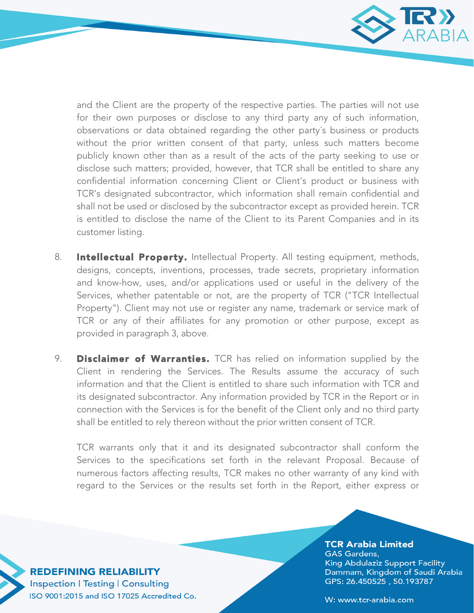

and the Client are the property of the respective parties. The parties will not use for their own purposes or disclose to any third party any of such information, observations or data obtained regarding the other party´s business or products without the prior written consent of that party, unless such matters become publicly known other than as a result of the acts of the party seeking to use or disclose such matters; provided, however, that TCR shall be entitled to share any confidential information concerning Client or Client's product or business with TCR's designated subcontractor, which information shall remain confidential and shall not be used or disclosed by the subcontractor except as provided herein. TCR is entitled to disclose the name of the Client to its Parent Companies and in its customer listing.

- 8. **Intellectual Property.** Intellectual Property. All testing equipment, methods, designs, concepts, inventions, processes, trade secrets, proprietary information and know-how, uses, and/or applications used or useful in the delivery of the Services, whether patentable or not, are the property of TCR ("TCR Intellectual Property"). Client may not use or register any name, trademark or service mark of TCR or any of their affiliates for any promotion or other purpose, except as provided in paragraph 3, above.
- 9. **Disclaimer of Warranties.** TCR has relied on information supplied by the Client in rendering the Services. The Results assume the accuracy of such information and that the Client is entitled to share such information with TCR and its designated subcontractor. Any information provided by TCR in the Report or in connection with the Services is for the benefit of the Client only and no third party shall be entitled to rely thereon without the prior written consent of TCR.

TCR warrants only that it and its designated subcontractor shall conform the Services to the specifications set forth in the relevant Proposal. Because of numerous factors affecting results, TCR makes no other warranty of any kind with regard to the Services or the results set forth in the Report, either express or

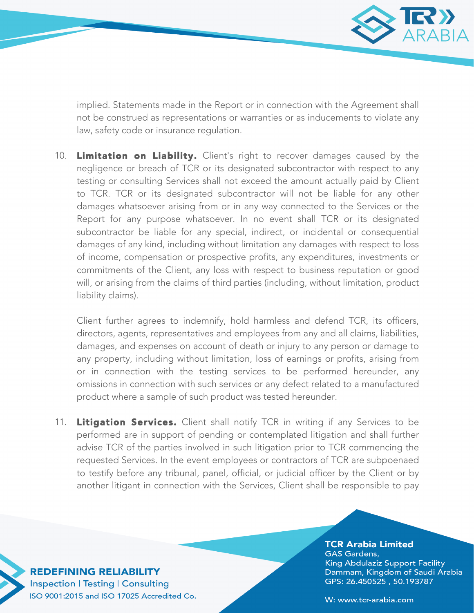

implied. Statements made in the Report or in connection with the Agreement shall not be construed as representations or warranties or as inducements to violate any law, safety code or insurance regulation.

10. Limitation on Liability. Client's right to recover damages caused by the negligence or breach of TCR or its designated subcontractor with respect to any testing or consulting Services shall not exceed the amount actually paid by Client to TCR. TCR or its designated subcontractor will not be liable for any other damages whatsoever arising from or in any way connected to the Services or the Report for any purpose whatsoever. In no event shall TCR or its designated subcontractor be liable for any special, indirect, or incidental or consequential damages of any kind, including without limitation any damages with respect to loss of income, compensation or prospective profits, any expenditures, investments or commitments of the Client, any loss with respect to business reputation or good will, or arising from the claims of third parties (including, without limitation, product liability claims).

Client further agrees to indemnify, hold harmless and defend TCR, its officers, directors, agents, representatives and employees from any and all claims, liabilities, damages, and expenses on account of death or injury to any person or damage to any property, including without limitation, loss of earnings or profits, arising from or in connection with the testing services to be performed hereunder, any omissions in connection with such services or any defect related to a manufactured product where a sample of such product was tested hereunder.

11. Litigation Services. Client shall notify TCR in writing if any Services to be performed are in support of pending or contemplated litigation and shall further advise TCR of the parties involved in such litigation prior to TCR commencing the requested Services. In the event employees or contractors of TCR are subpoenaed to testify before any tribunal, panel, official, or judicial officer by the Client or by another litigant in connection with the Services, Client shall be responsible to pay

**REDEFINING RELIABILITY Inspection | Testing | Consulting** ISO 9001:2015 and ISO 17025 Accredited Co.

**TCR Arabia Limited GAS Gardens,** King Abdulaziz Support Facility Dammam, Kingdom of Saudi Arabia GPS: 26.450525, 50.193787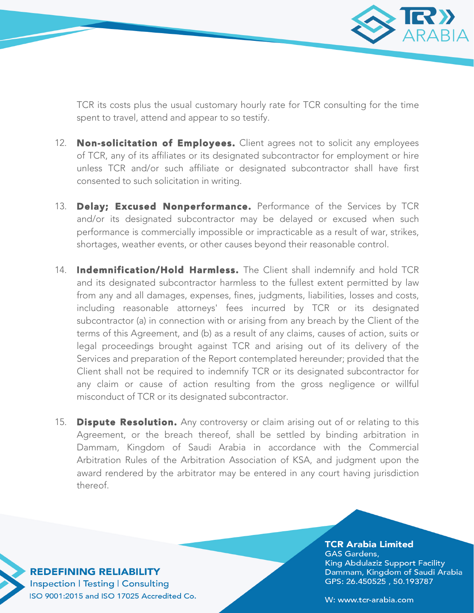

TCR its costs plus the usual customary hourly rate for TCR consulting for the time spent to travel, attend and appear to so testify.

- 12. Non-solicitation of Employees. Client agrees not to solicit any employees of TCR, any of its affiliates or its designated subcontractor for employment or hire unless TCR and/or such affiliate or designated subcontractor shall have first consented to such solicitation in writing.
- 13. Delay; Excused Nonperformance. Performance of the Services by TCR and/or its designated subcontractor may be delayed or excused when such performance is commercially impossible or impracticable as a result of war, strikes, shortages, weather events, or other causes beyond their reasonable control.
- 14. Indemnification/Hold Harmless. The Client shall indemnify and hold TCR and its designated subcontractor harmless to the fullest extent permitted by law from any and all damages, expenses, fines, judgments, liabilities, losses and costs, including reasonable attorneys' fees incurred by TCR or its designated subcontractor (a) in connection with or arising from any breach by the Client of the terms of this Agreement, and (b) as a result of any claims, causes of action, suits or legal proceedings brought against TCR and arising out of its delivery of the Services and preparation of the Report contemplated hereunder; provided that the Client shall not be required to indemnify TCR or its designated subcontractor for any claim or cause of action resulting from the gross negligence or willful misconduct of TCR or its designated subcontractor.
- 15. **Dispute Resolution.** Any controversy or claim arising out of or relating to this Agreement, or the breach thereof, shall be settled by binding arbitration in Dammam, Kingdom of Saudi Arabia in accordance with the Commercial Arbitration Rules of the Arbitration Association of KSA, and judgment upon the award rendered by the arbitrator may be entered in any court having jurisdiction thereof.

**REDEFINING RELIABILITY Inspection | Testing | Consulting** ISO 9001:2015 and ISO 17025 Accredited Co.

## **TCR Arabia Limited GAS Gardens,** King Abdulaziz Support Facility Dammam, Kingdom of Saudi Arabia GPS: 26.450525, 50.193787